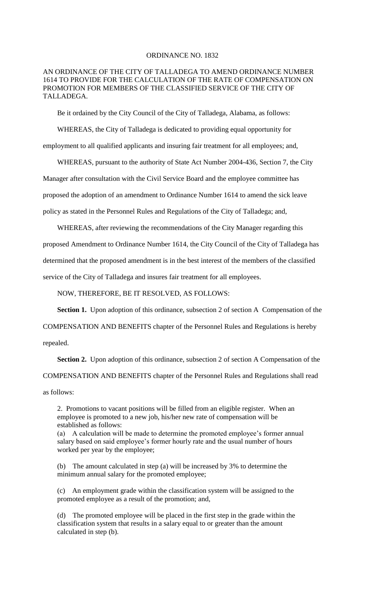## ORDINANCE NO. 1832

## AN ORDINANCE OF THE CITY OF TALLADEGA TO AMEND ORDINANCE NUMBER 1614 TO PROVIDE FOR THE CALCULATION OF THE RATE OF COMPENSATION ON PROMOTION FOR MEMBERS OF THE CLASSIFIED SERVICE OF THE CITY OF TALLADEGA.

Be it ordained by the City Council of the City of Talladega, Alabama, as follows:

WHEREAS, the City of Talladega is dedicated to providing equal opportunity for employment to all qualified applicants and insuring fair treatment for all employees; and,

WHEREAS, pursuant to the authority of State Act Number 2004-436, Section 7, the City Manager after consultation with the Civil Service Board and the employee committee has proposed the adoption of an amendment to Ordinance Number 1614 to amend the sick leave policy as stated in the Personnel Rules and Regulations of the City of Talladega; and,

WHEREAS, after reviewing the recommendations of the City Manager regarding this proposed Amendment to Ordinance Number 1614, the City Council of the City of Talladega has determined that the proposed amendment is in the best interest of the members of the classified service of the City of Talladega and insures fair treatment for all employees.

NOW, THEREFORE, BE IT RESOLVED, AS FOLLOWS:

**Section 1.** Upon adoption of this ordinance, subsection 2 of section A Compensation of the

COMPENSATION AND BENEFITS chapter of the Personnel Rules and Regulations is hereby

repealed.

Section 2. Upon adoption of this ordinance, subsection 2 of section A Compensation of the

COMPENSATION AND BENEFITS chapter of the Personnel Rules and Regulations shall read

as follows:

2. Promotions to vacant positions will be filled from an eligible register. When an employee is promoted to a new job, his/her new rate of compensation will be established as follows:

(a) A calculation will be made to determine the promoted employee's former annual salary based on said employee's former hourly rate and the usual number of hours worked per year by the employee;

(b) The amount calculated in step (a) will be increased by 3% to determine the minimum annual salary for the promoted employee;

(c) An employment grade within the classification system will be assigned to the promoted employee as a result of the promotion; and,

(d) The promoted employee will be placed in the first step in the grade within the classification system that results in a salary equal to or greater than the amount calculated in step (b).